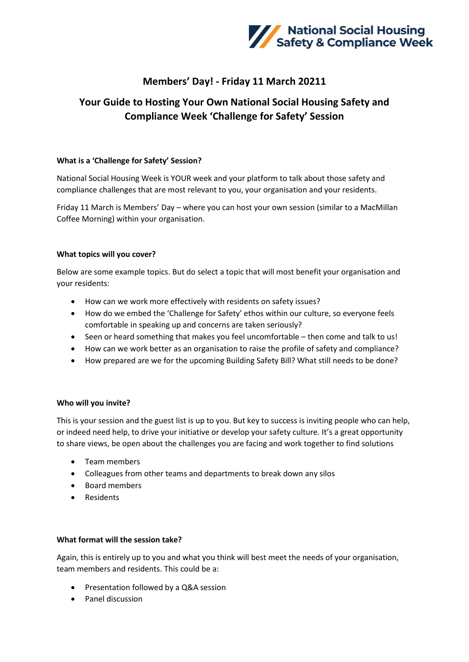

## **Members' Day! - Friday 11 March 20211**

# **Your Guide to Hosting Your Own National Social Housing Safety and Compliance Week 'Challenge for Safety' Session**

#### **What is a 'Challenge for Safety' Session?**

National Social Housing Week is YOUR week and your platform to talk about those safety and compliance challenges that are most relevant to you, your organisation and your residents.

Friday 11 March is Members' Day – where you can host your own session (similar to a MacMillan Coffee Morning) within your organisation.

### **What topics will you cover?**

Below are some example topics. But do select a topic that will most benefit your organisation and your residents:

- How can we work more effectively with residents on safety issues?
- How do we embed the 'Challenge for Safety' ethos within our culture, so everyone feels comfortable in speaking up and concerns are taken seriously?
- Seen or heard something that makes you feel uncomfortable then come and talk to us!
- How can we work better as an organisation to raise the profile of safety and compliance?
- How prepared are we for the upcoming Building Safety Bill? What still needs to be done?

#### **Who will you invite?**

This is your session and the guest list is up to you. But key to success is inviting people who can help, or indeed need help, to drive your initiative or develop your safety culture. It's a great opportunity to share views, be open about the challenges you are facing and work together to find solutions

- Team members
- Colleagues from other teams and departments to break down any silos
- Board members
- Residents

#### **What format will the session take?**

Again, this is entirely up to you and what you think will best meet the needs of your organisation, team members and residents. This could be a:

- Presentation followed by a Q&A session
- Panel discussion